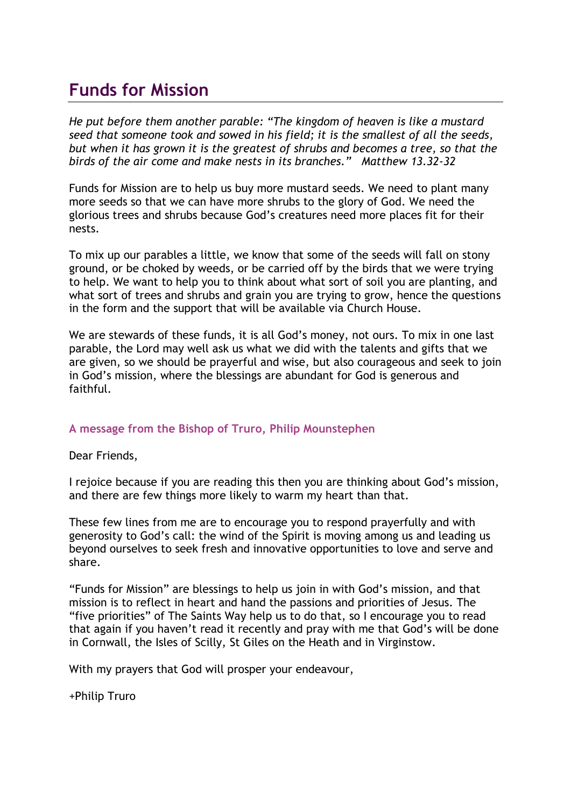# **Funds for Mission**

*He put before them another parable: "The kingdom of heaven is like a mustard seed that someone took and sowed in his field; it is the smallest of all the seeds, but when it has grown it is the greatest of shrubs and becomes a tree, so that the birds of the air come and make nests in its branches." Matthew 13.32-32*

Funds for Mission are to help us buy more mustard seeds. We need to plant many more seeds so that we can have more shrubs to the glory of God. We need the glorious trees and shrubs because God's creatures need more places fit for their nests.

To mix up our parables a little, we know that some of the seeds will fall on stony ground, or be choked by weeds, or be carried off by the birds that we were trying to help. We want to help you to think about what sort of soil you are planting, and what sort of trees and shrubs and grain you are trying to grow, hence the questions in the form and the support that will be available via Church House.

We are stewards of these funds, it is all God's money, not ours. To mix in one last parable, the Lord may well ask us what we did with the talents and gifts that we are given, so we should be prayerful and wise, but also courageous and seek to join in God's mission, where the blessings are abundant for God is generous and faithful.

#### **A message from the Bishop of Truro, Philip Mounstephen**

Dear Friends,

I rejoice because if you are reading this then you are thinking about God's mission, and there are few things more likely to warm my heart than that.

These few lines from me are to encourage you to respond prayerfully and with generosity to God's call: the wind of the Spirit is moving among us and leading us beyond ourselves to seek fresh and innovative opportunities to love and serve and share.

"Funds for Mission" are blessings to help us join in with God's mission, and that mission is to reflect in heart and hand the passions and priorities of Jesus. The "five priorities" of The Saints Way help us to do that, so I encourage you to read that again if you haven't read it recently and pray with me that God's will be done in Cornwall, the Isles of Scilly, St Giles on the Heath and in Virginstow.

With my prayers that God will prosper your endeavour,

+Philip Truro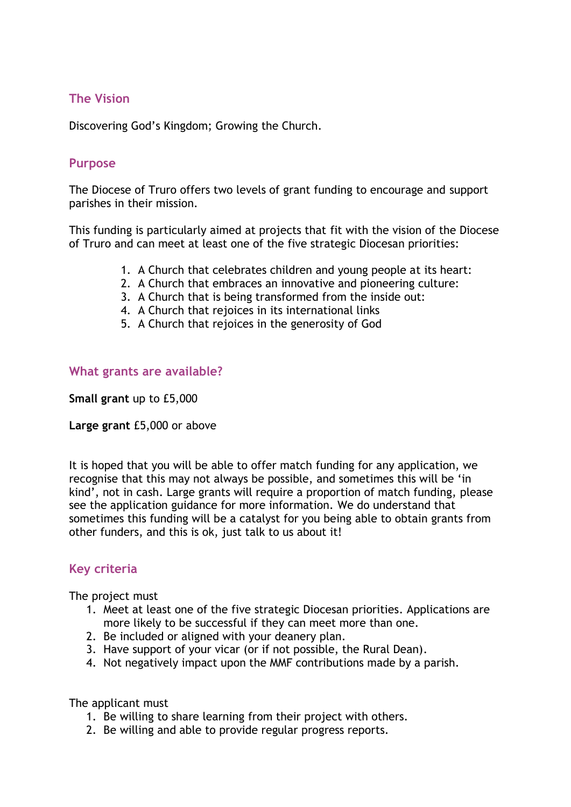### **The Vision**

Discovering God's Kingdom; Growing the Church.

#### **Purpose**

The Diocese of Truro offers two levels of grant funding to encourage and support parishes in their mission.

This funding is particularly aimed at projects that fit with the vision of the Diocese of Truro and can meet at least one of the five strategic Diocesan priorities:

- 1. A Church that celebrates children and young people at its heart:
- 2. A Church that embraces an innovative and pioneering culture:
- 3. A Church that is being transformed from the inside out:
- 4. A Church that rejoices in its international links
- 5. A Church that rejoices in the generosity of God

#### **What grants are available?**

**Small grant** up to £5,000

**Large grant** £5,000 or above

It is hoped that you will be able to offer match funding for any application, we recognise that this may not always be possible, and sometimes this will be 'in kind', not in cash. Large grants will require a proportion of match funding, please see the application guidance for more information. We do understand that sometimes this funding will be a catalyst for you being able to obtain grants from other funders, and this is ok, just talk to us about it!

# **Key criteria**

The project must

- 1. Meet at least one of the five strategic Diocesan priorities. Applications are more likely to be successful if they can meet more than one.
- 2. Be included or aligned with your deanery plan.
- 3. Have support of your vicar (or if not possible, the Rural Dean).
- 4. Not negatively impact upon the MMF contributions made by a parish.

The applicant must

- 1. Be willing to share learning from their project with others.
- 2. Be willing and able to provide regular progress reports.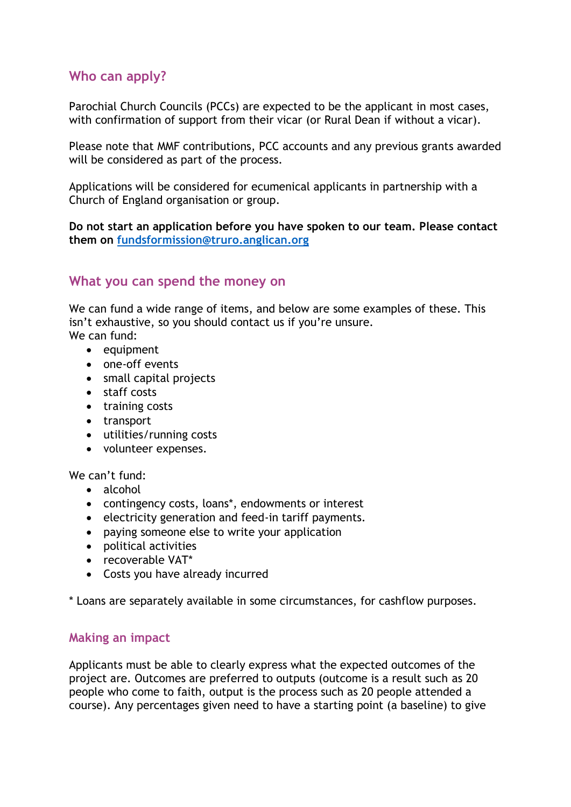# **Who can apply?**

Parochial Church Councils (PCCs) are expected to be the applicant in most cases, with confirmation of support from their vicar (or Rural Dean if without a vicar).

Please note that MMF contributions, PCC accounts and any previous grants awarded will be considered as part of the process.

Applications will be considered for ecumenical applicants in partnership with a Church of England organisation or group.

**Do not start an application before you have spoken to our team. Please contact them on [fundsformission@truro.anglican.org](mailto:fundsformission@truro.anglican.org)**

### **What you can spend the money on**

We can fund a wide range of items, and below are some examples of these. This isn't exhaustive, so you should contact us if you're unsure. We can fund:

 $\bullet$  equipment

- one-off events
- small capital projects
- staff costs
- training costs
- transport
- utilities/running costs
- volunteer expenses.

We can't fund:

- alcohol
- contingency costs, loans\*, endowments or interest
- electricity generation and feed-in tariff payments.
- paying someone else to write your application
- political activities
- recoverable VAT\*
- Costs you have already incurred

\* Loans are separately available in some circumstances, for cashflow purposes.

#### **Making an impact**

Applicants must be able to clearly express what the expected outcomes of the project are. Outcomes are preferred to outputs (outcome is a result such as 20 people who come to faith, output is the process such as 20 people attended a course). Any percentages given need to have a starting point (a baseline) to give